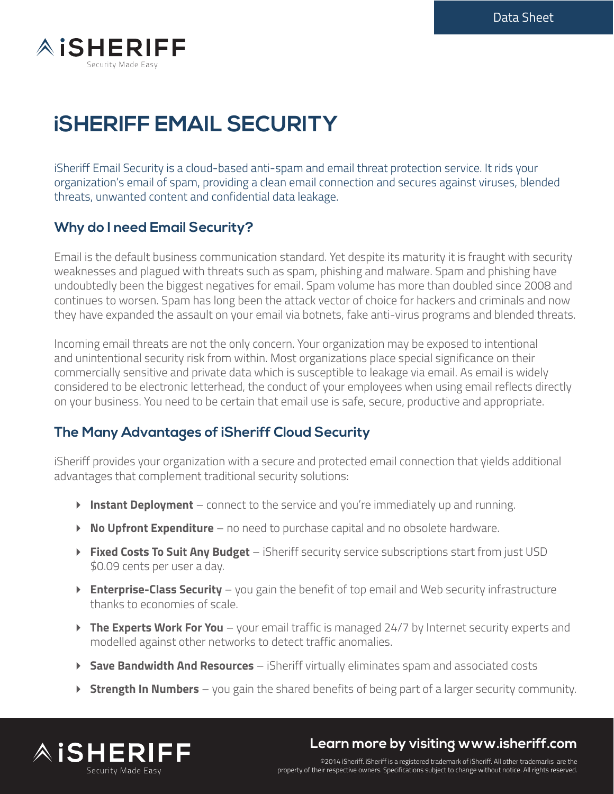

# **iSHERIFF EMAIL SECURITY**

iSheriff Email Security is a cloud-based anti-spam and email threat protection service. It rids your organization's email of spam, providing a clean email connection and secures against viruses, blended threats, unwanted content and confidential data leakage.

## **Why do I need Email Security?**

Email is the default business communication standard. Yet despite its maturity it is fraught with security weaknesses and plagued with threats such as spam, phishing and malware. Spam and phishing have undoubtedly been the biggest negatives for email. Spam volume has more than doubled since 2008 and continues to worsen. Spam has long been the attack vector of choice for hackers and criminals and now they have expanded the assault on your email via botnets, fake anti-virus programs and blended threats.

Incoming email threats are not the only concern. Your organization may be exposed to intentional and unintentional security risk from within. Most organizations place special significance on their commercially sensitive and private data which is susceptible to leakage via email. As email is widely considered to be electronic letterhead, the conduct of your employees when using email reflects directly on your business. You need to be certain that email use is safe, secure, productive and appropriate.

### **The Many Advantages of iSheriff Cloud Security**

iSheriff provides your organization with a secure and protected email connection that yields additional advantages that complement traditional security solutions:

- **Instant Deployment** connect to the service and you're immediately up and running.
- **No Upfront Expenditure** no need to purchase capital and no obsolete hardware.
- **Fixed Costs To Suit Any Budget**  iSheriff security service subscriptions start from just USD \$0.09 cents per user a day.
- **Enterprise-Class Security** you gain the benefit of top email and Web security infrastructure thanks to economies of scale.
- **The Experts Work For You** your email traffic is managed 24/7 by Internet security experts and modelled against other networks to detect traffic anomalies.
- **Save Bandwidth And Resources** iSheriff virtually eliminates spam and associated costs
- **Strength In Numbers** you gain the shared benefits of being part of a larger security community.



## **Learn more by visiting www.isheriff.com**

©2014 iSheriff. iSheriff is a registered trademark of iSheriff. All other trademarks are the property of their respective owners. Specifications subject to change without notice. All rights reserved.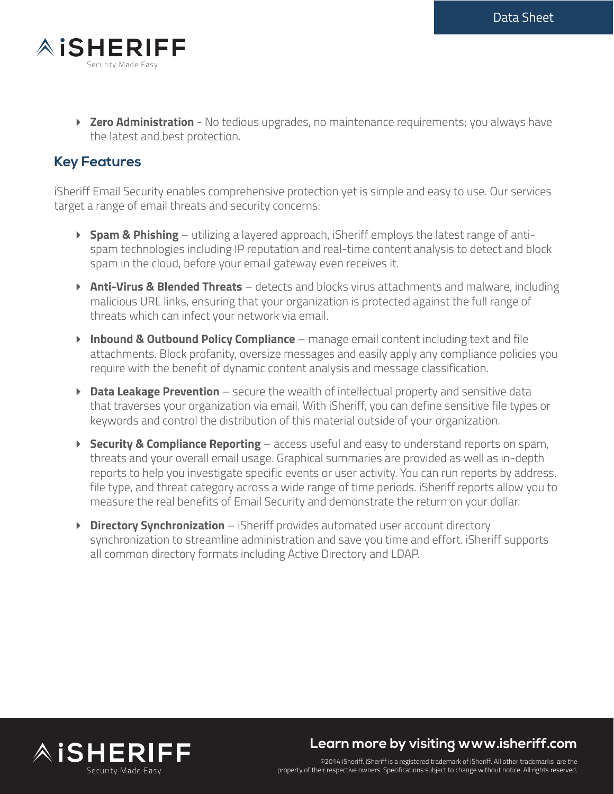

**Exero Administration** - No tedious upgrades, no maintenance requirements; you always have the latest and best protection.

## **Key Features**

iSheriff Email Security enables comprehensive protection yet is simple and easy to use. Our services target a range of email threats and security concerns:

- **► Spam & Phishing** utilizing a layered approach, iSheriff employs the latest range of antispam technologies including IP reputation and real-time content analysis to detect and block spam in the cloud, before your email gateway even receives it.
- **Anti-Virus & Blended Threats** detects and blocks virus attachments and malware, including malicious URL links, ensuring that your organization is protected against the full range of threats which can infect your network via email.
- **Inbound & Outbound Policy Compliance** manage email content including text and file attachments. Block profanity, oversize messages and easily apply any compliance policies you require with the benefit of dynamic content analysis and message classification.
- **Data Leakage Prevention** secure the wealth of intellectual property and sensitive data that traverses your organization via email. With iSheriff, you can define sensitive file types or keywords and control the distribution of this material outside of your organization.
- **Security & Compliance Reporting** access useful and easy to understand reports on spam, threats and your overall email usage. Graphical summaries are provided as well as in-depth reports to help you investigate specific events or user activity. You can run reports by address, file type, and threat category across a wide range of time periods. iSheriff reports allow you to measure the real benefits of Email Security and demonstrate the return on your dollar.
- **Directory Synchronization** iSheriff provides automated user account directory synchronization to streamline administration and save you time and effort. iSheriff supports all common directory formats including Active Directory and LDAP.



## **Learn more by visiting www.isheriff.com**

©2014 iSheriff. iSheriff is a registered trademark of iSheriff. All other trademarks are the property of their respective owners. Specifications subject to change without notice. All rights reserved.